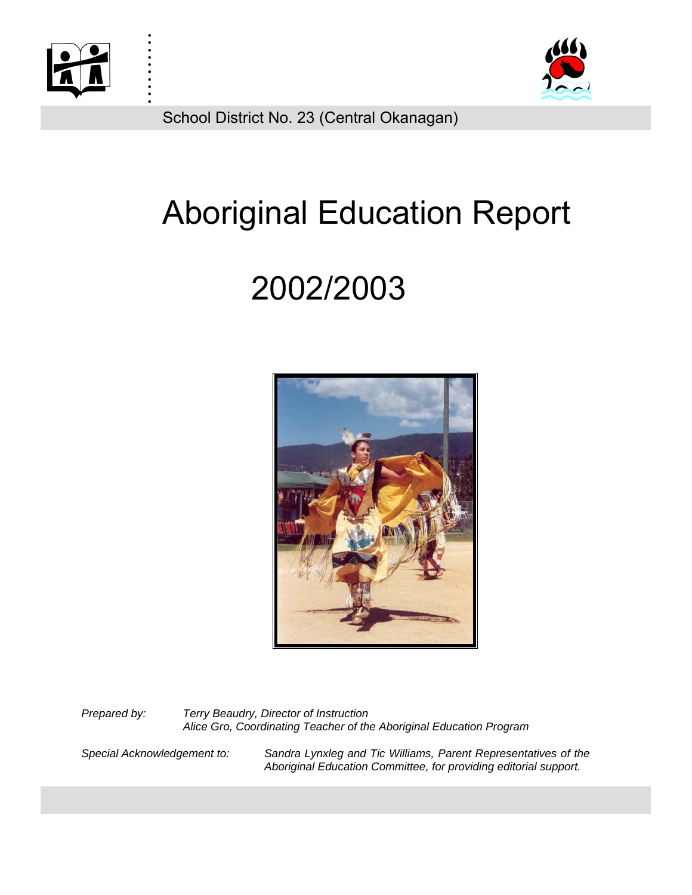

. . :<br>: :<br>: :<br>: . :<br>: :<br>: :<br>: :<br>:



School District No. 23 (Central Okanagan)

# Aboriginal Education Report

# 2002/2003



*Prepared by: Terry Beaudry, Director of Instruction Alice Gro, Coordinating Teacher of the Aboriginal Education Program* 

*Special Acknowledgement to: Sandra Lynxleg and Tic Williams, Parent Representatives of the Aboriginal Education Committee, for providing editorial support.*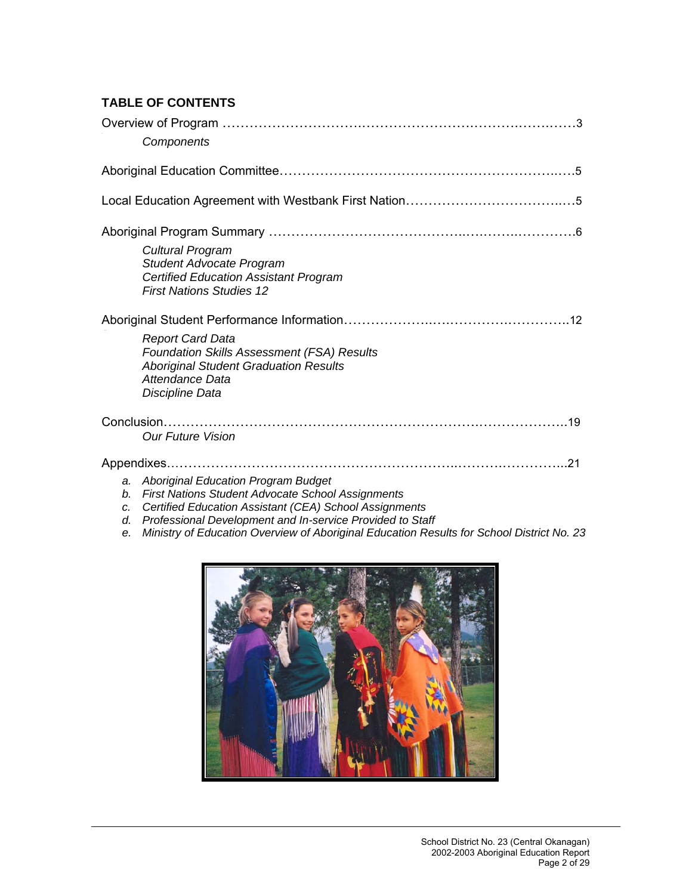# **TABLE OF CONTENTS**

|                            | Components                                                                                                                                                                                                                                                                                                                 |
|----------------------------|----------------------------------------------------------------------------------------------------------------------------------------------------------------------------------------------------------------------------------------------------------------------------------------------------------------------------|
|                            |                                                                                                                                                                                                                                                                                                                            |
|                            |                                                                                                                                                                                                                                                                                                                            |
|                            | Cultural Program<br><b>Student Advocate Program</b><br><b>Certified Education Assistant Program</b><br><b>First Nations Studies 12</b>                                                                                                                                                                                     |
|                            | <b>Report Card Data</b><br><b>Foundation Skills Assessment (FSA) Results</b><br><b>Aboriginal Student Graduation Results</b><br>Attendance Data<br>Discipline Data                                                                                                                                                         |
|                            | <b>Our Future Vision</b>                                                                                                                                                                                                                                                                                                   |
| a.<br>b.<br>C.<br>d.<br>е. | <b>Aboriginal Education Program Budget</b><br><b>First Nations Student Advocate School Assignments</b><br>Certified Education Assistant (CEA) School Assignments<br>Professional Development and In-service Provided to Staff<br>Ministry of Education Overview of Aboriginal Education Results for School District No. 23 |

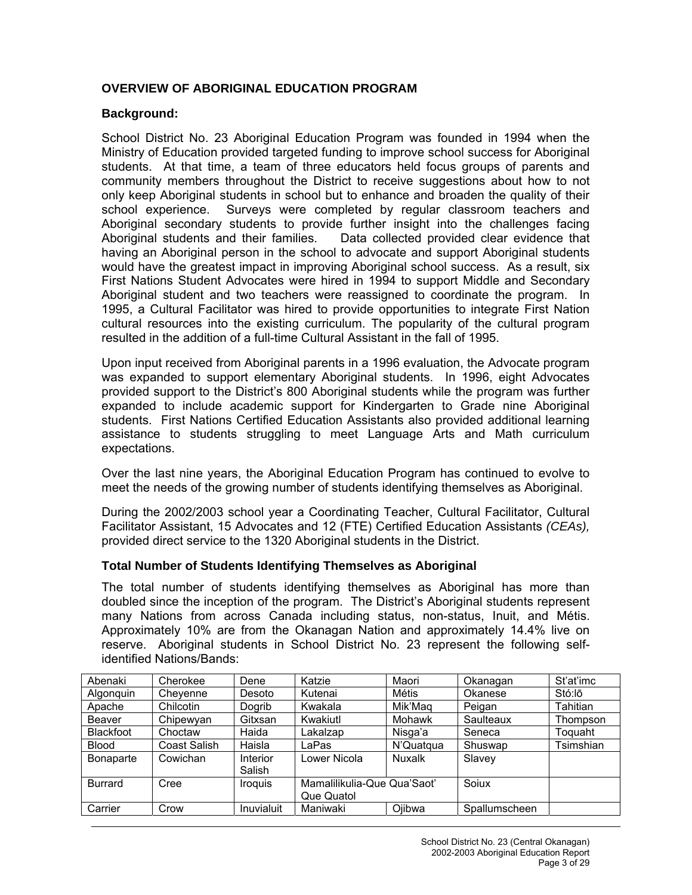# **OVERVIEW OF ABORIGINAL EDUCATION PROGRAM**

## **Background:**

School District No. 23 Aboriginal Education Program was founded in 1994 when the Ministry of Education provided targeted funding to improve school success for Aboriginal students. At that time, a team of three educators held focus groups of parents and community members throughout the District to receive suggestions about how to not only keep Aboriginal students in school but to enhance and broaden the quality of their school experience. Surveys were completed by regular classroom teachers and Aboriginal secondary students to provide further insight into the challenges facing Aboriginal students and their families. Data collected provided clear evidence that having an Aboriginal person in the school to advocate and support Aboriginal students would have the greatest impact in improving Aboriginal school success. As a result, six First Nations Student Advocates were hired in 1994 to support Middle and Secondary Aboriginal student and two teachers were reassigned to coordinate the program. In 1995, a Cultural Facilitator was hired to provide opportunities to integrate First Nation cultural resources into the existing curriculum. The popularity of the cultural program resulted in the addition of a full-time Cultural Assistant in the fall of 1995.

Upon input received from Aboriginal parents in a 1996 evaluation, the Advocate program was expanded to support elementary Aboriginal students. In 1996, eight Advocates provided support to the District's 800 Aboriginal students while the program was further expanded to include academic support for Kindergarten to Grade nine Aboriginal students. First Nations Certified Education Assistants also provided additional learning assistance to students struggling to meet Language Arts and Math curriculum expectations.

Over the last nine years, the Aboriginal Education Program has continued to evolve to meet the needs of the growing number of students identifying themselves as Aboriginal.

During the 2002/2003 school year a Coordinating Teacher, Cultural Facilitator, Cultural Facilitator Assistant, 15 Advocates and 12 (FTE) Certified Education Assistants *(CEAs),*  provided direct service to the 1320 Aboriginal students in the District.

#### **Total Number of Students Identifying Themselves as Aboriginal**

The total number of students identifying themselves as Aboriginal has more than doubled since the inception of the program. The District's Aboriginal students represent many Nations from across Canada including status, non-status, Inuit, and Métis. Approximately 10% are from the Okanagan Nation and approximately 14.4% live on reserve. Aboriginal students in School District No. 23 represent the following selfidentified Nations/Bands:

| Abenaki          | Cherokee     | Dene               | Katzie                      | Maori     | Okanagan      | St'at'imc |
|------------------|--------------|--------------------|-----------------------------|-----------|---------------|-----------|
| Algonguin        | Chevenne     | Desoto             | Kutenai                     | Métis     | Okanese       | Stó:lo    |
| Apache           | Chilcotin    | Dogrib             | Kwakala                     | Mik'Maq   | Peigan        | Tahitian  |
| Beaver           | Chipewyan    | Gitxsan            | Kwakiutl                    | Mohawk    | Saulteaux     | Thompson  |
| <b>Blackfoot</b> | Choctaw      | Haida              | Lakalzap                    | Nisga'a   | Seneca        | Toquaht   |
| <b>Blood</b>     | Coast Salish | Haisla             | LaPas                       | N'Quatqua | Shuswap       | Tsimshian |
| <b>Bonaparte</b> | Cowichan     | Interior<br>Salish | Lower Nicola                | Nuxalk    | Slavey        |           |
| <b>Burrard</b>   | Cree         | <b>Iroquis</b>     | Mamalilikulia-Que Qua'Saot' |           | Soiux         |           |
|                  |              |                    | Que Quatol                  |           |               |           |
| Carrier          | Crow         | Inuvialuit         | Maniwaki                    | Ojibwa    | Spallumscheen |           |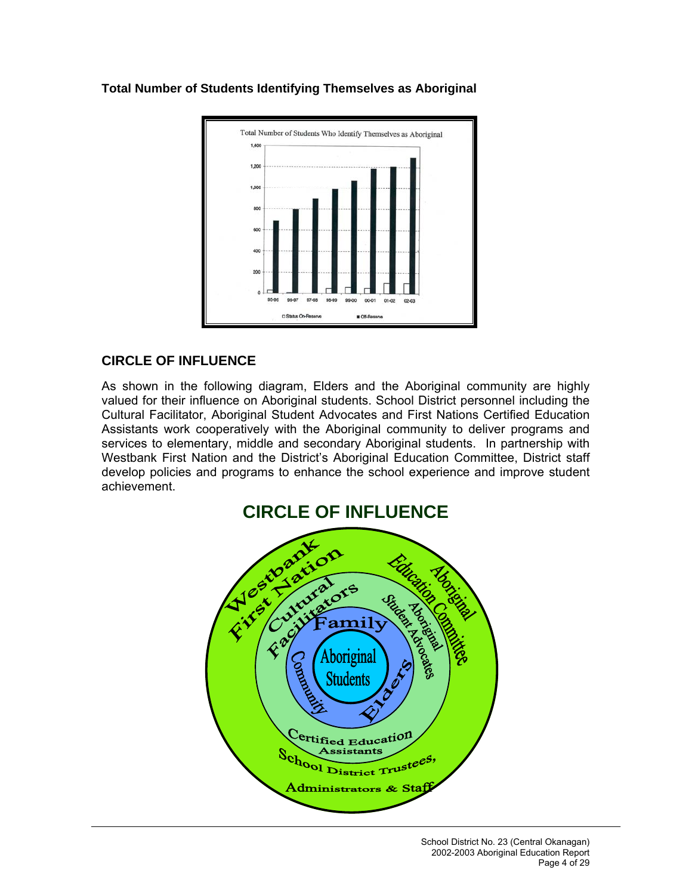

# **Total Number of Students Identifying Themselves as Aboriginal**

# **CIRCLE OF INFLUENCE**

As shown in the following diagram, Elders and the Aboriginal community are highly valued for their influence on Aboriginal students. School District personnel including the Cultural Facilitator, Aboriginal Student Advocates and First Nations Certified Education Assistants work cooperatively with the Aboriginal community to deliver programs and services to elementary, middle and secondary Aboriginal students. In partnership with Westbank First Nation and the District's Aboriginal Education Committee, District staff develop policies and programs to enhance the school experience and improve student achievement.

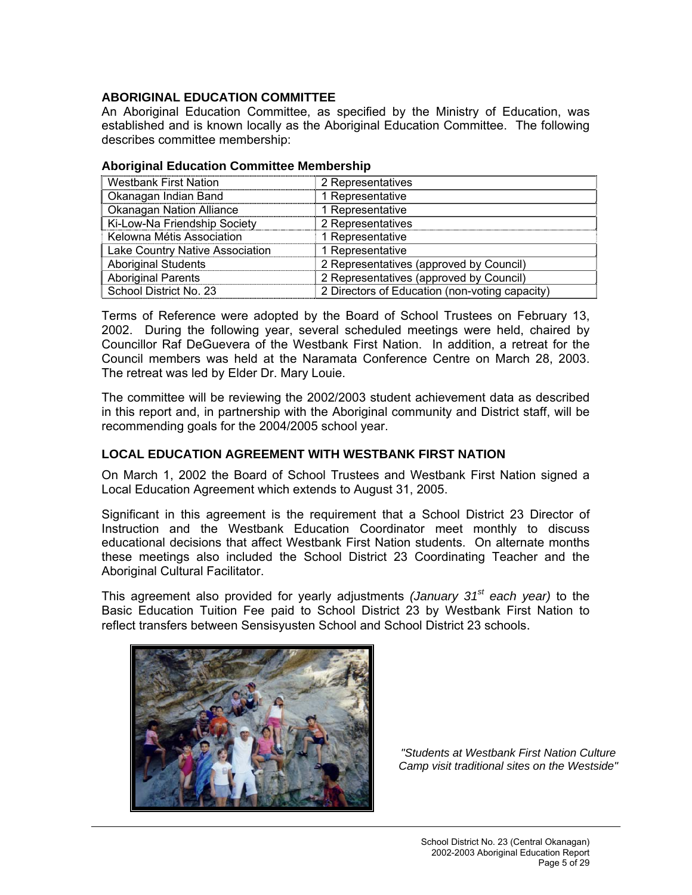## **ABORIGINAL EDUCATION COMMITTEE**

An Aboriginal Education Committee, as specified by the Ministry of Education, was established and is known locally as the Aboriginal Education Committee. The following describes committee membership:

| 2 Representatives                              |
|------------------------------------------------|
| 1 Representative                               |
| 1 Representative                               |
| 2 Representatives                              |
| 1 Representative                               |
| 1 Representative                               |
| 2 Representatives (approved by Council)        |
| 2 Representatives (approved by Council)        |
| 2 Directors of Education (non-voting capacity) |
|                                                |

#### **Aboriginal Education Committee Membership**

Terms of Reference were adopted by the Board of School Trustees on February 13, 2002. During the following year, several scheduled meetings were held, chaired by Councillor Raf DeGuevera of the Westbank First Nation. In addition, a retreat for the Council members was held at the Naramata Conference Centre on March 28, 2003. The retreat was led by Elder Dr. Mary Louie.

The committee will be reviewing the 2002/2003 student achievement data as described in this report and, in partnership with the Aboriginal community and District staff, will be recommending goals for the 2004/2005 school year.

## **LOCAL EDUCATION AGREEMENT WITH WESTBANK FIRST NATION**

On March 1, 2002 the Board of School Trustees and Westbank First Nation signed a Local Education Agreement which extends to August 31, 2005.

Significant in this agreement is the requirement that a School District 23 Director of Instruction and the Westbank Education Coordinator meet monthly to discuss educational decisions that affect Westbank First Nation students. On alternate months these meetings also included the School District 23 Coordinating Teacher and the Aboriginal Cultural Facilitator.

This agreement also provided for yearly adjustments *(January 31st each year)* to the Basic Education Tuition Fee paid to School District 23 by Westbank First Nation to reflect transfers between Sensisyusten School and School District 23 schools.



*"Students at Westbank First Nation Culture Camp visit traditional sites on the Westside"*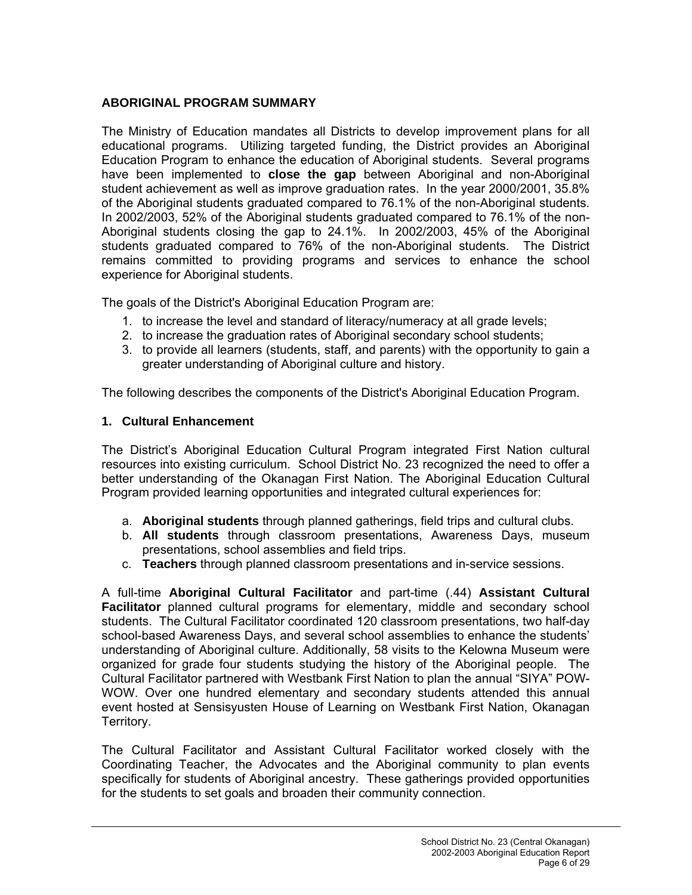# **ABORIGINAL PROGRAM SUMMARY**

The Ministry of Education mandates all Districts to develop improvement plans for all educational programs. Utilizing targeted funding, the District provides an Aboriginal Education Program to enhance the education of Aboriginal students. Several programs have been implemented to **close the gap** between Aboriginal and non-Aboriginal student achievement as well as improve graduation rates. In the year 2000/2001, 35.8% of the Aboriginal students graduated compared to 76.1% of the non-Aboriginal students. In 2002/2003, 52% of the Aboriginal students graduated compared to 76.1% of the non-Aboriginal students closing the gap to 24.1%. In 2002/2003, 45% of the Aboriginal students graduated compared to 76% of the non-Aboriginal students. The District remains committed to providing programs and services to enhance the school experience for Aboriginal students.

The goals of the District's Aboriginal Education Program are:

- 1. to increase the level and standard of literacy/numeracy at all grade levels;
- 2. to increase the graduation rates of Aboriginal secondary school students;
- 3. to provide all learners (students, staff, and parents) with the opportunity to gain a greater understanding of Aboriginal culture and history.

The following describes the components of the District's Aboriginal Education Program.

# **1. Cultural Enhancement**

The District's Aboriginal Education Cultural Program integrated First Nation cultural resources into existing curriculum. School District No. 23 recognized the need to offer a better understanding of the Okanagan First Nation. The Aboriginal Education Cultural Program provided learning opportunities and integrated cultural experiences for:

- a. **Aboriginal students** through planned gatherings, field trips and cultural clubs.
- b. **All students** through classroom presentations, Awareness Days, museum presentations, school assemblies and field trips.
- c. **Teachers** through planned classroom presentations and in-service sessions.

A full-time **Aboriginal Cultural Facilitator** and part-time (.44) **Assistant Cultural Facilitator** planned cultural programs for elementary, middle and secondary school students. The Cultural Facilitator coordinated 120 classroom presentations, two half-day school-based Awareness Days, and several school assemblies to enhance the students' understanding of Aboriginal culture. Additionally, 58 visits to the Kelowna Museum were organized for grade four students studying the history of the Aboriginal people. The Cultural Facilitator partnered with Westbank First Nation to plan the annual "SIYA" POW-WOW. Over one hundred elementary and secondary students attended this annual event hosted at Sensisyusten House of Learning on Westbank First Nation, Okanagan Territory.

The Cultural Facilitator and Assistant Cultural Facilitator worked closely with the Coordinating Teacher, the Advocates and the Aboriginal community to plan events specifically for students of Aboriginal ancestry. These gatherings provided opportunities for the students to set goals and broaden their community connection.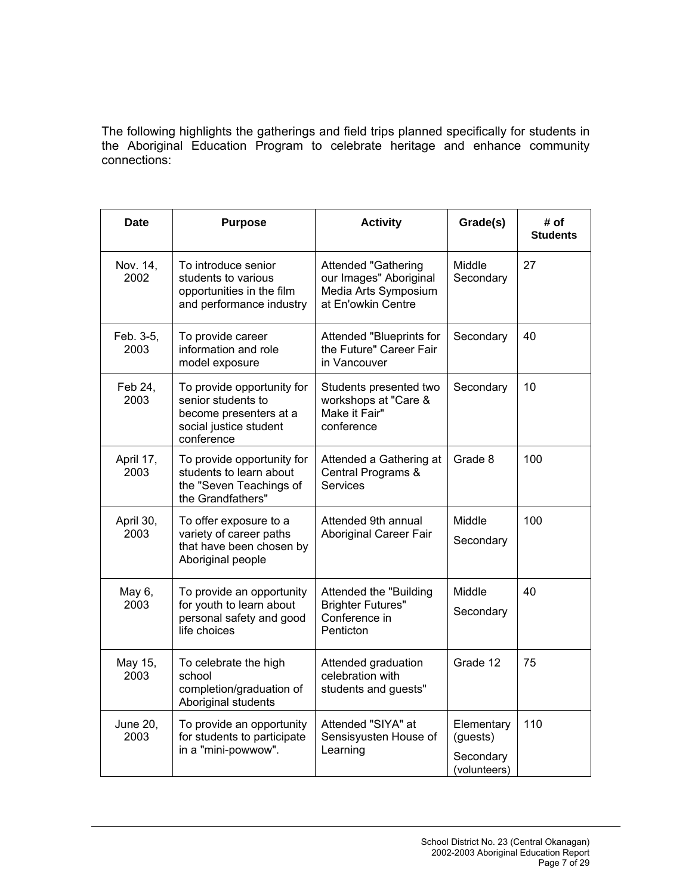The following highlights the gatherings and field trips planned specifically for students in the Aboriginal Education Program to celebrate heritage and enhance community connections:

| Date                    | <b>Purpose</b>                                                                                                     | <b>Activity</b>                                                                                    | Grade(s)                                            | # of<br><b>Students</b> |
|-------------------------|--------------------------------------------------------------------------------------------------------------------|----------------------------------------------------------------------------------------------------|-----------------------------------------------------|-------------------------|
| Nov. 14,<br>2002        | To introduce senior<br>students to various<br>opportunities in the film<br>and performance industry                | <b>Attended "Gathering</b><br>our Images" Aboriginal<br>Media Arts Symposium<br>at En'owkin Centre | Middle<br>Secondary                                 | 27                      |
| Feb. 3-5,<br>2003       | To provide career<br>information and role<br>model exposure                                                        | Attended "Blueprints for<br>the Future" Career Fair<br>in Vancouver                                | Secondary                                           | 40                      |
| Feb 24.<br>2003         | To provide opportunity for<br>senior students to<br>become presenters at a<br>social justice student<br>conference | Students presented two<br>workshops at "Care &<br>Make it Fair"<br>conference                      | Secondary                                           | 10                      |
| April 17,<br>2003       | To provide opportunity for<br>students to learn about<br>the "Seven Teachings of<br>the Grandfathers"              | Attended a Gathering at<br>Central Programs &<br>Services                                          | Grade 8                                             | 100                     |
| April 30,<br>2003       | To offer exposure to a<br>variety of career paths<br>that have been chosen by<br>Aboriginal people                 | Attended 9th annual<br>Aboriginal Career Fair                                                      | Middle<br>Secondary                                 | 100                     |
| May 6,<br>2003          | To provide an opportunity<br>for youth to learn about<br>personal safety and good<br>life choices                  | Attended the "Building<br><b>Brighter Futures"</b><br>Conference in<br>Penticton                   | Middle<br>Secondary                                 | 40                      |
| May 15,<br>2003         | To celebrate the high<br>school<br>completion/graduation of<br>Aboriginal students                                 | Attended graduation<br>celebration with<br>students and guests"                                    | Grade 12                                            | 75                      |
| <b>June 20,</b><br>2003 | To provide an opportunity<br>for students to participate<br>in a "mini-powwow".                                    | Attended "SIYA" at<br>Sensisyusten House of<br>Learning                                            | Elementary<br>(guests)<br>Secondary<br>(volunteers) | 110                     |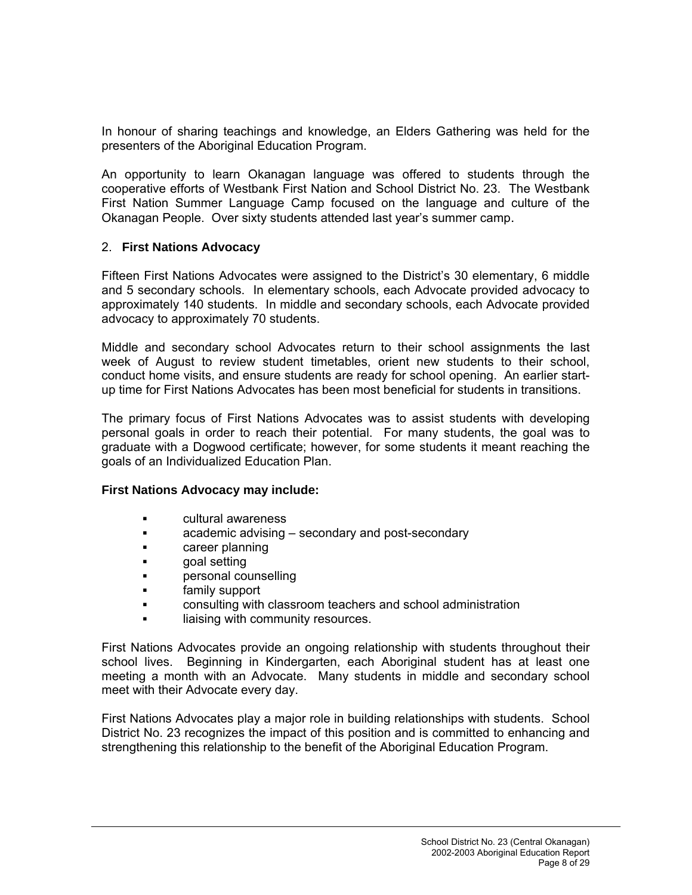In honour of sharing teachings and knowledge, an Elders Gathering was held for the presenters of the Aboriginal Education Program.

An opportunity to learn Okanagan language was offered to students through the cooperative efforts of Westbank First Nation and School District No. 23. The Westbank First Nation Summer Language Camp focused on the language and culture of the Okanagan People. Over sixty students attended last year's summer camp.

## 2. **First Nations Advocacy**

Fifteen First Nations Advocates were assigned to the District's 30 elementary, 6 middle and 5 secondary schools. In elementary schools, each Advocate provided advocacy to approximately 140 students. In middle and secondary schools, each Advocate provided advocacy to approximately 70 students.

Middle and secondary school Advocates return to their school assignments the last week of August to review student timetables, orient new students to their school, conduct home visits, and ensure students are ready for school opening. An earlier startup time for First Nations Advocates has been most beneficial for students in transitions.

The primary focus of First Nations Advocates was to assist students with developing personal goals in order to reach their potential. For many students, the goal was to graduate with a Dogwood certificate; however, for some students it meant reaching the goals of an Individualized Education Plan.

## **First Nations Advocacy may include:**

- cultural awareness
- academic advising secondary and post-secondary
- **Example 1** career planning
- **goal setting**
- personal counselling
- family support
- consulting with classroom teachers and school administration
- liaising with community resources.

First Nations Advocates provide an ongoing relationship with students throughout their school lives. Beginning in Kindergarten, each Aboriginal student has at least one meeting a month with an Advocate. Many students in middle and secondary school meet with their Advocate every day.

First Nations Advocates play a major role in building relationships with students. School District No. 23 recognizes the impact of this position and is committed to enhancing and strengthening this relationship to the benefit of the Aboriginal Education Program.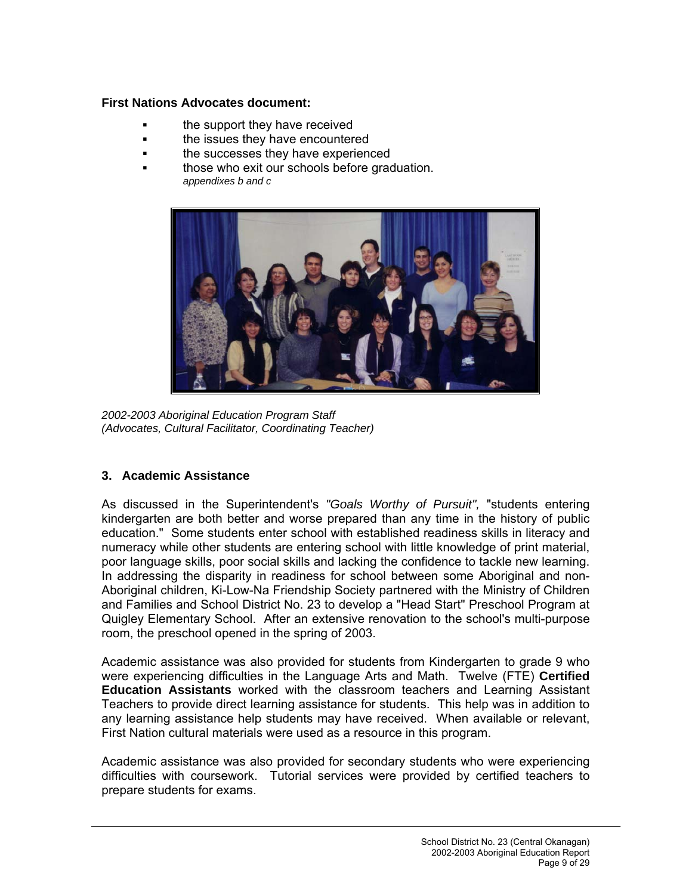## **First Nations Advocates document:**

- the support they have received
- **the issues they have encountered**
- the successes they have experienced
- those who exit our schools before graduation. *appendixes b and c*



*2002-2003 Aboriginal Education Program Staff (Advocates, Cultural Facilitator, Coordinating Teacher)*

# **3. Academic Assistance**

As discussed in the Superintendent's *"Goals Worthy of Pursuit",* "students entering kindergarten are both better and worse prepared than any time in the history of public education." Some students enter school with established readiness skills in literacy and numeracy while other students are entering school with little knowledge of print material, poor language skills, poor social skills and lacking the confidence to tackle new learning. In addressing the disparity in readiness for school between some Aboriginal and non-Aboriginal children, Ki-Low-Na Friendship Society partnered with the Ministry of Children and Families and School District No. 23 to develop a "Head Start" Preschool Program at Quigley Elementary School. After an extensive renovation to the school's multi-purpose room, the preschool opened in the spring of 2003.

Academic assistance was also provided for students from Kindergarten to grade 9 who were experiencing difficulties in the Language Arts and Math. Twelve (FTE) **Certified Education Assistants** worked with the classroom teachers and Learning Assistant Teachers to provide direct learning assistance for students. This help was in addition to any learning assistance help students may have received. When available or relevant, First Nation cultural materials were used as a resource in this program.

Academic assistance was also provided for secondary students who were experiencing difficulties with coursework. Tutorial services were provided by certified teachers to prepare students for exams.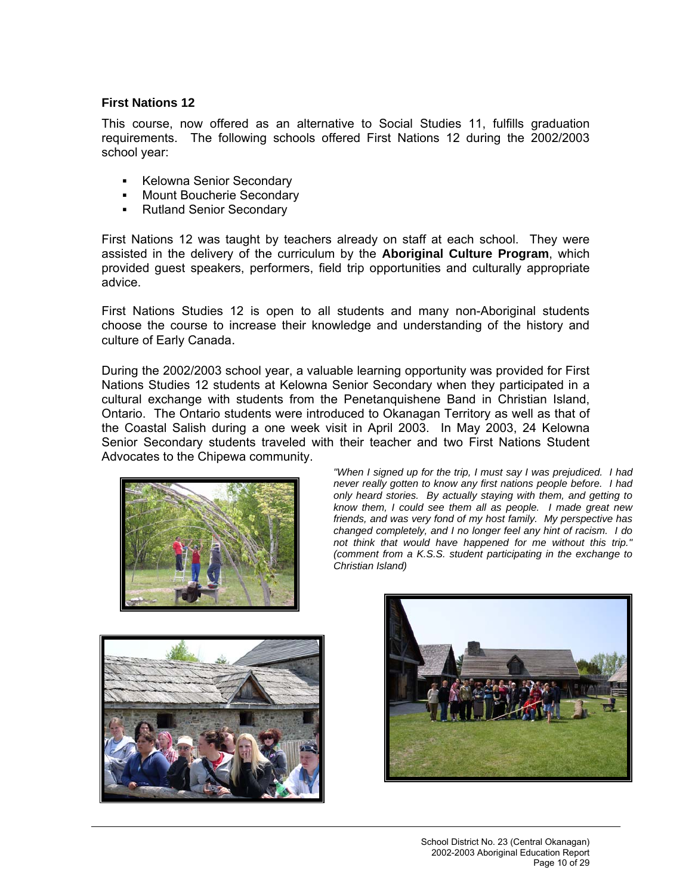## **First Nations 12**

This course, now offered as an alternative to Social Studies 11, fulfills graduation requirements. The following schools offered First Nations 12 during the 2002/2003 school year:

- **Kelowna Senior Secondary**
- **Mount Boucherie Secondary**
- Rutland Senior Secondary

First Nations 12 was taught by teachers already on staff at each school. They were assisted in the delivery of the curriculum by the **Aboriginal Culture Program**, which provided guest speakers, performers, field trip opportunities and culturally appropriate advice.

First Nations Studies 12 is open to all students and many non-Aboriginal students choose the course to increase their knowledge and understanding of the history and culture of Early Canada.

During the 2002/2003 school year, a valuable learning opportunity was provided for First Nations Studies 12 students at Kelowna Senior Secondary when they participated in a cultural exchange with students from the Penetanquishene Band in Christian Island, Ontario. The Ontario students were introduced to Okanagan Territory as well as that of the Coastal Salish during a one week visit in April 2003. In May 2003, 24 Kelowna Senior Secondary students traveled with their teacher and two First Nations Student Advocates to the Chipewa community.



*"When I signed up for the trip, I must say I was prejudiced. I had never really gotten to know any first nations people before. I had only heard stories. By actually staying with them, and getting to know them, I could see them all as people. I made great new friends, and was very fond of my host family. My perspective has changed completely, and I no longer feel any hint of racism. I do not think that would have happened for me without this trip." (comment from a K.S.S. student participating in the exchange to Christian Island)* 



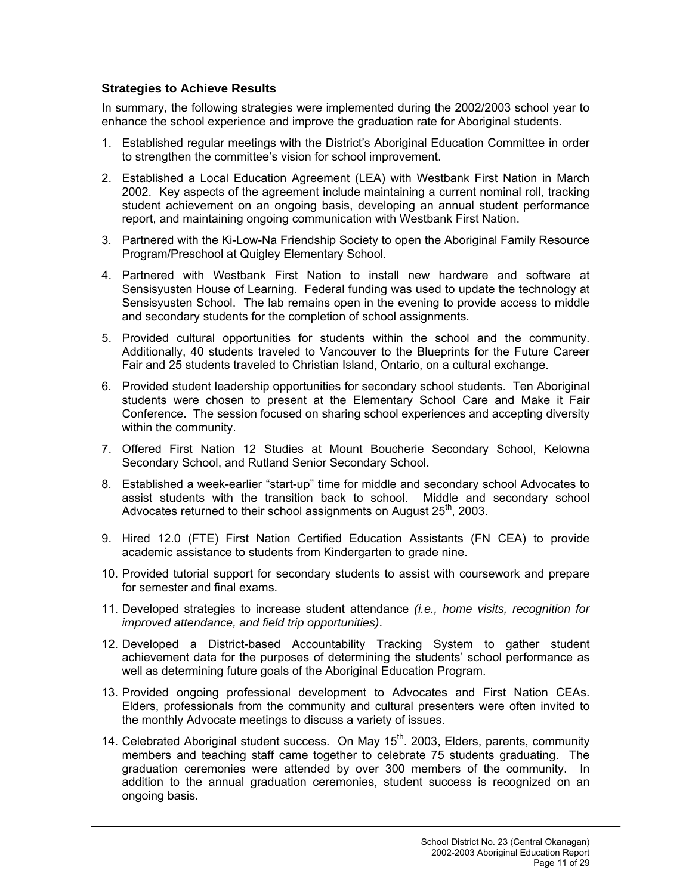## **Strategies to Achieve Results**

In summary, the following strategies were implemented during the 2002/2003 school year to enhance the school experience and improve the graduation rate for Aboriginal students.

- 1. Established regular meetings with the District's Aboriginal Education Committee in order to strengthen the committee's vision for school improvement.
- 2. Established a Local Education Agreement (LEA) with Westbank First Nation in March 2002. Key aspects of the agreement include maintaining a current nominal roll, tracking student achievement on an ongoing basis, developing an annual student performance report, and maintaining ongoing communication with Westbank First Nation.
- 3. Partnered with the Ki-Low-Na Friendship Society to open the Aboriginal Family Resource Program/Preschool at Quigley Elementary School.
- 4. Partnered with Westbank First Nation to install new hardware and software at Sensisyusten House of Learning. Federal funding was used to update the technology at Sensisyusten School. The lab remains open in the evening to provide access to middle and secondary students for the completion of school assignments.
- 5. Provided cultural opportunities for students within the school and the community. Additionally, 40 students traveled to Vancouver to the Blueprints for the Future Career Fair and 25 students traveled to Christian Island, Ontario, on a cultural exchange.
- 6. Provided student leadership opportunities for secondary school students. Ten Aboriginal students were chosen to present at the Elementary School Care and Make it Fair Conference. The session focused on sharing school experiences and accepting diversity within the community.
- 7. Offered First Nation 12 Studies at Mount Boucherie Secondary School, Kelowna Secondary School, and Rutland Senior Secondary School.
- 8. Established a week-earlier "start-up" time for middle and secondary school Advocates to assist students with the transition back to school. Middle and secondary school Advocates returned to their school assignments on August  $25<sup>th</sup>$ , 2003.
- 9. Hired 12.0 (FTE) First Nation Certified Education Assistants (FN CEA) to provide academic assistance to students from Kindergarten to grade nine.
- 10. Provided tutorial support for secondary students to assist with coursework and prepare for semester and final exams.
- 11. Developed strategies to increase student attendance *(i.e., home visits, recognition for improved attendance, and field trip opportunities)*.
- 12. Developed a District-based Accountability Tracking System to gather student achievement data for the purposes of determining the students' school performance as well as determining future goals of the Aboriginal Education Program.
- 13. Provided ongoing professional development to Advocates and First Nation CEAs. Elders, professionals from the community and cultural presenters were often invited to the monthly Advocate meetings to discuss a variety of issues.
- 14. Celebrated Aboriginal student success. On May 15<sup>th</sup>. 2003, Elders, parents, community members and teaching staff came together to celebrate 75 students graduating. The graduation ceremonies were attended by over 300 members of the community. In addition to the annual graduation ceremonies, student success is recognized on an ongoing basis.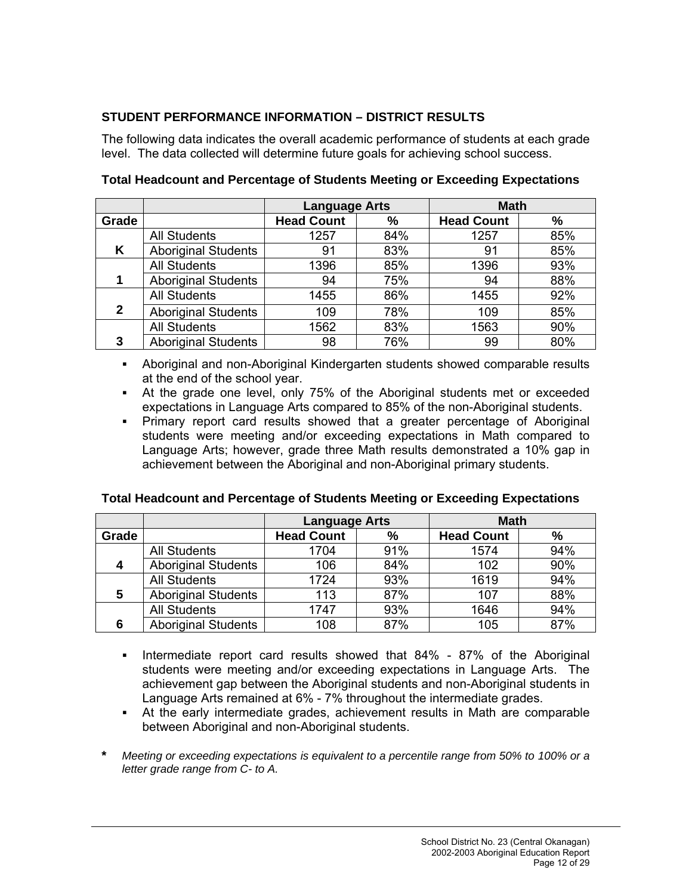# **STUDENT PERFORMANCE INFORMATION – DISTRICT RESULTS**

The following data indicates the overall academic performance of students at each grade level. The data collected will determine future goals for achieving school success.

|              |                            | <b>Language Arts</b> |     | <b>Math</b>       |     |  |
|--------------|----------------------------|----------------------|-----|-------------------|-----|--|
| Grade        |                            | <b>Head Count</b>    | %   | <b>Head Count</b> | %   |  |
|              | <b>All Students</b>        | 1257                 | 84% | 1257              | 85% |  |
| Κ            | <b>Aboriginal Students</b> | 91                   | 83% | 91                | 85% |  |
|              | <b>All Students</b>        | 1396                 | 85% | 1396              | 93% |  |
|              | <b>Aboriginal Students</b> | 94                   | 75% | 94                | 88% |  |
|              | <b>All Students</b>        | 1455                 | 86% | 1455              | 92% |  |
| $\mathbf{2}$ | <b>Aboriginal Students</b> | 109                  | 78% | 109               | 85% |  |
|              | <b>All Students</b>        | 1562                 | 83% | 1563              | 90% |  |
| 3            | <b>Aboriginal Students</b> | 98                   | 76% | 99                | 80% |  |

**Total Headcount and Percentage of Students Meeting or Exceeding Expectations** 

- Aboriginal and non-Aboriginal Kindergarten students showed comparable results at the end of the school year.
- At the grade one level, only 75% of the Aboriginal students met or exceeded expectations in Language Arts compared to 85% of the non-Aboriginal students.
- Primary report card results showed that a greater percentage of Aboriginal students were meeting and/or exceeding expectations in Math compared to Language Arts; however, grade three Math results demonstrated a 10% gap in achievement between the Aboriginal and non-Aboriginal primary students.

|       |                            | <b>Language Arts</b> |      | <b>Math</b>       |               |
|-------|----------------------------|----------------------|------|-------------------|---------------|
| Grade |                            | <b>Head Count</b>    | $\%$ | <b>Head Count</b> | $\frac{9}{6}$ |
|       | <b>All Students</b>        | 1704                 | 91%  | 1574              | 94%           |
| 4     | <b>Aboriginal Students</b> | 106                  | 84%  | 102               | 90%           |
|       | <b>All Students</b>        | 1724                 | 93%  | 1619              | 94%           |
| 5     | <b>Aboriginal Students</b> | 113                  | 87%  | 107               | 88%           |
|       | <b>All Students</b>        | 1747                 | 93%  | 1646              | 94%           |
| 6     | <b>Aboriginal Students</b> | 108                  | 87%  | 105               | 87%           |

# **Total Headcount and Percentage of Students Meeting or Exceeding Expectations**

- Intermediate report card results showed that 84% 87% of the Aboriginal students were meeting and/or exceeding expectations in Language Arts. The achievement gap between the Aboriginal students and non-Aboriginal students in Language Arts remained at 6% - 7% throughout the intermediate grades.
- At the early intermediate grades, achievement results in Math are comparable between Aboriginal and non-Aboriginal students.
- **\*** *Meeting or exceeding expectations is equivalent to a percentile range from 50% to 100% or a letter grade range from C- to A.*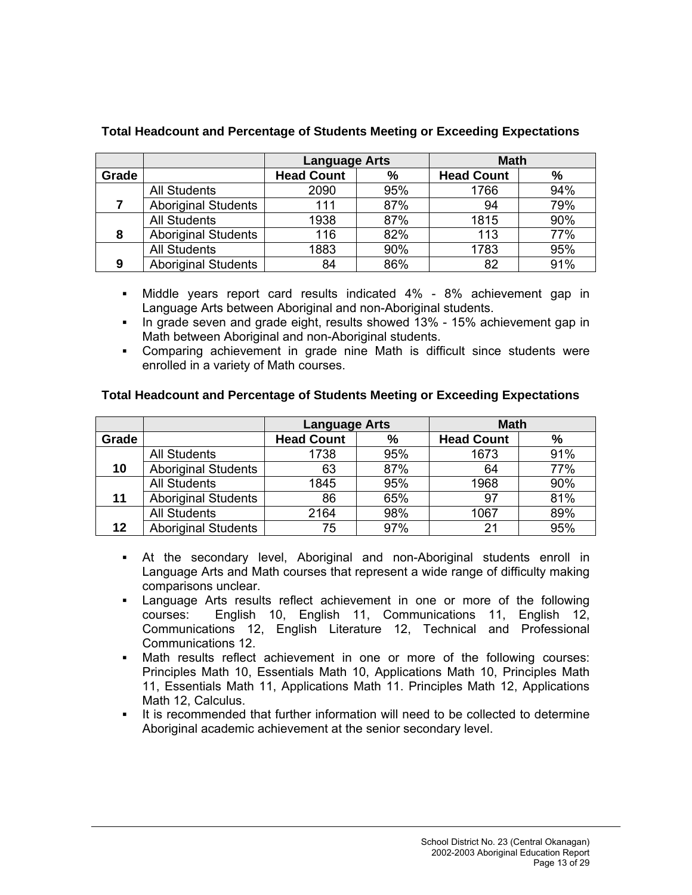|       |                            | <b>Language Arts</b> |      | <b>Math</b>       |     |
|-------|----------------------------|----------------------|------|-------------------|-----|
| Grade |                            | <b>Head Count</b>    | $\%$ | <b>Head Count</b> | %   |
|       | <b>All Students</b>        | 2090                 | 95%  | 1766              | 94% |
|       | <b>Aboriginal Students</b> | 111                  | 87%  | 94                | 79% |
|       | <b>All Students</b>        | 1938                 | 87%  | 1815              | 90% |
| 8     | <b>Aboriginal Students</b> | 116                  | 82%  | 113               | 77% |
|       | <b>All Students</b>        | 1883                 | 90%  | 1783              | 95% |
| 9     | <b>Aboriginal Students</b> | 84                   | 86%  | 82                | 91% |

# **Total Headcount and Percentage of Students Meeting or Exceeding Expectations**

- Middle years report card results indicated 4% 8% achievement gap in Language Arts between Aboriginal and non-Aboriginal students.
- In grade seven and grade eight, results showed 13% 15% achievement gap in Math between Aboriginal and non-Aboriginal students.
- Comparing achievement in grade nine Math is difficult since students were enrolled in a variety of Math courses.

# **Total Headcount and Percentage of Students Meeting or Exceeding Expectations**

|       |                            | <b>Language Arts</b> |     | <b>Math</b>       |               |
|-------|----------------------------|----------------------|-----|-------------------|---------------|
| Grade |                            | <b>Head Count</b>    | %   | <b>Head Count</b> | $\frac{9}{6}$ |
|       | <b>All Students</b>        | 1738                 | 95% | 1673              | 91%           |
| 10    | <b>Aboriginal Students</b> | 63                   | 87% | 64                | 77%           |
|       | <b>All Students</b>        | 1845                 | 95% | 1968              | 90%           |
| 11    | <b>Aboriginal Students</b> | 86                   | 65% | 97                | 81%           |
|       | <b>All Students</b>        | 2164                 | 98% | 1067              | 89%           |
| 12    | <b>Aboriginal Students</b> | 75                   | 97% | $\mathcal{P}$     | 95%           |

- At the secondary level, Aboriginal and non-Aboriginal students enroll in Language Arts and Math courses that represent a wide range of difficulty making comparisons unclear.
- Language Arts results reflect achievement in one or more of the following courses: English 10, English 11, Communications 11, English 12, Communications 12, English Literature 12, Technical and Professional Communications 12.
- Math results reflect achievement in one or more of the following courses: Principles Math 10, Essentials Math 10, Applications Math 10, Principles Math 11, Essentials Math 11, Applications Math 11. Principles Math 12, Applications Math 12, Calculus.
- It is recommended that further information will need to be collected to determine Aboriginal academic achievement at the senior secondary level.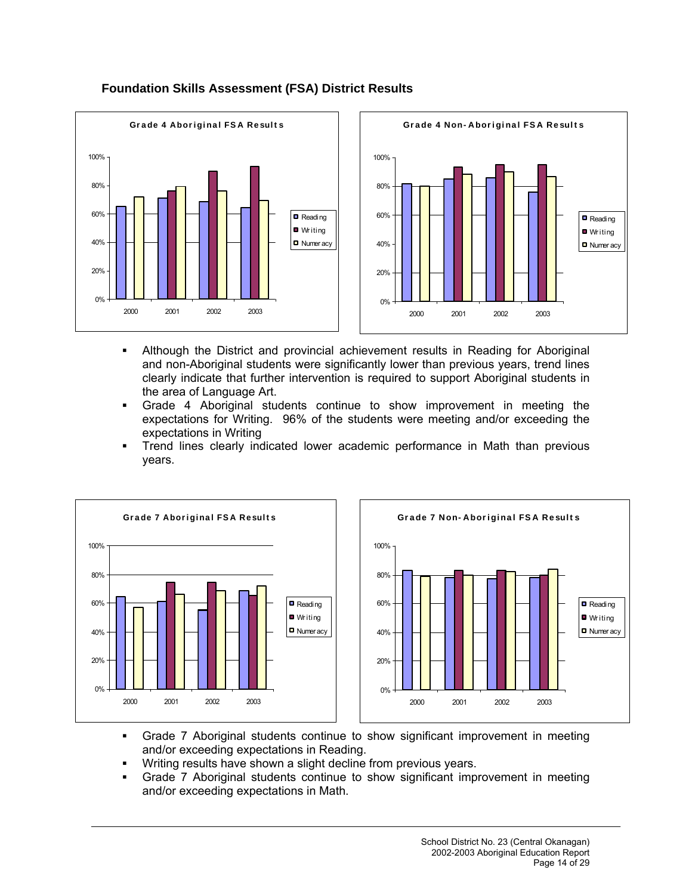

# **Foundation Skills Assessment (FSA) District Results**

- Although the District and provincial achievement results in Reading for Aboriginal and non-Aboriginal students were significantly lower than previous years, trend lines clearly indicate that further intervention is required to support Aboriginal students in the area of Language Art.
- Grade 4 Aboriginal students continue to show improvement in meeting the expectations for Writing. 96% of the students were meeting and/or exceeding the expectations in Writing
- Trend lines clearly indicated lower academic performance in Math than previous years.





- Grade 7 Aboriginal students continue to show significant improvement in meeting and/or exceeding expectations in Reading.
- **Writing results have shown a slight decline from previous years.**
- Grade 7 Aboriginal students continue to show significant improvement in meeting and/or exceeding expectations in Math.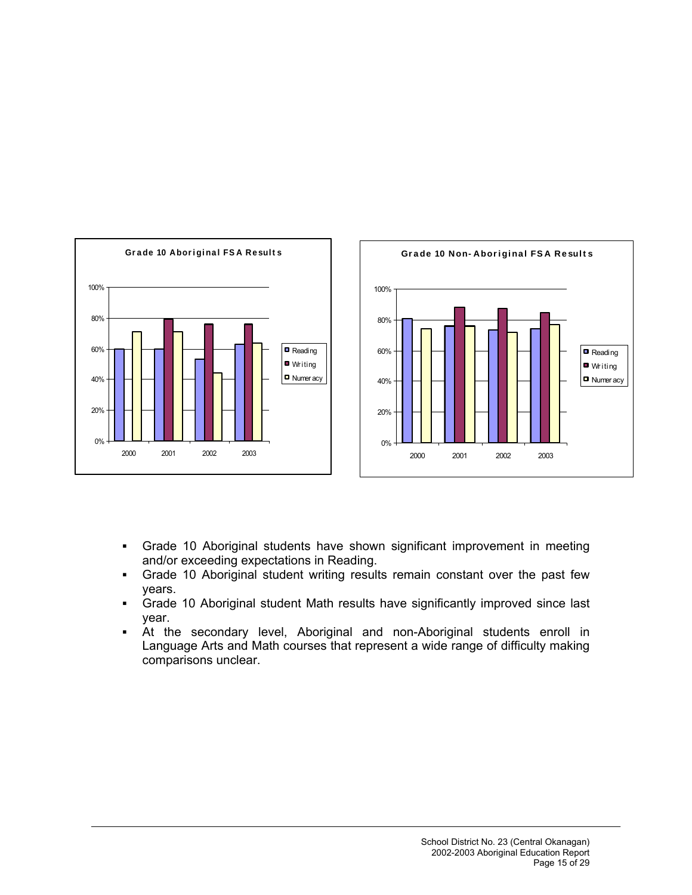

- Grade 10 Aboriginal students have shown significant improvement in meeting and/or exceeding expectations in Reading.
- Grade 10 Aboriginal student writing results remain constant over the past few years.
- Grade 10 Aboriginal student Math results have significantly improved since last year.
- At the secondary level, Aboriginal and non-Aboriginal students enroll in Language Arts and Math courses that represent a wide range of difficulty making comparisons unclear.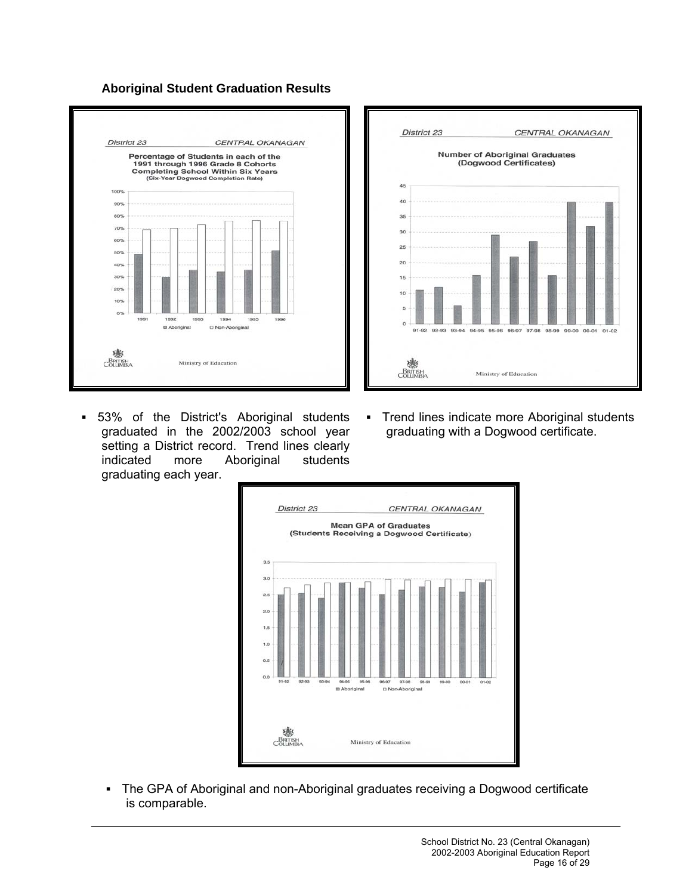**Aboriginal Student Graduation Results** 





- 53% of the District's Aboriginal students graduated in the 2002/2003 school year setting a District record. Trend lines clearly indicated more Aboriginal students graduating each year.
- **Trend lines indicate more Aboriginal students** graduating with a Dogwood certificate.



 The GPA of Aboriginal and non-Aboriginal graduates receiving a Dogwood certificate is comparable.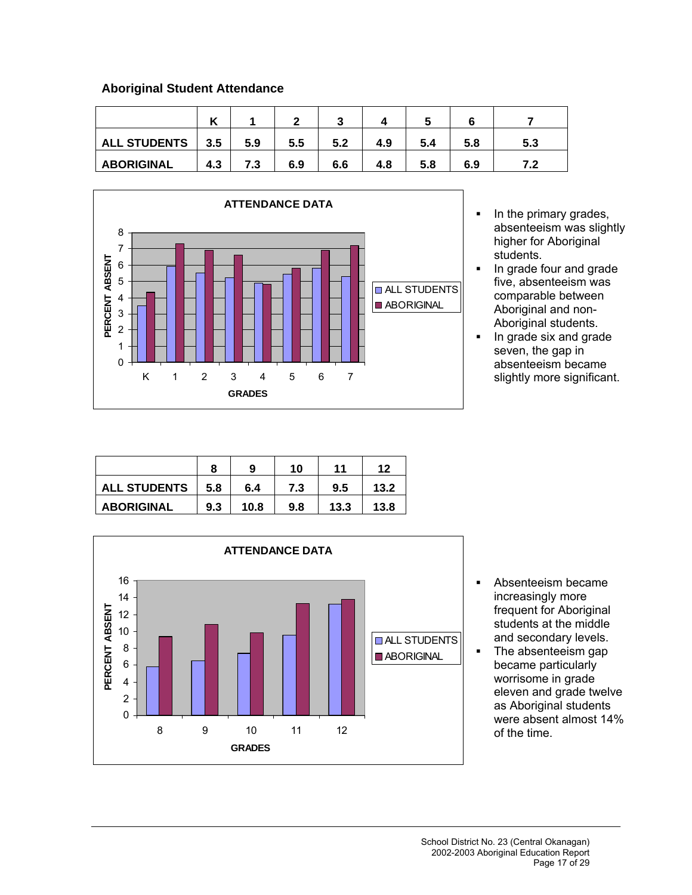# **Aboriginal Student Attendance**

|                     |     |     |     | ◠<br> |     |     |     |     |
|---------------------|-----|-----|-----|-------|-----|-----|-----|-----|
| <b>ALL STUDENTS</b> | 3.5 | 5.9 | 5.5 | 5.2   | 4.9 | 5.4 | 5.8 | 5.3 |
| <b>ABORIGINAL</b>   | 4.3 | 7.3 | 6.9 | 6.6   | 4.8 | 5.8 | 6.9 |     |



- In the primary grades, absenteeism was slightly higher for Aboriginal students.
- In grade four and grade five, absenteeism was comparable between Aboriginal and non-Aboriginal students.
- $\blacksquare$  In grade six and grade seven, the gap in absenteeism became slightly more significant.

|                     |     | 9    | 10  | 11   | 12   |
|---------------------|-----|------|-----|------|------|
| <b>ALL STUDENTS</b> | 5.8 | 6.4  | 7.3 | 9.5  | 13.2 |
| <b>ABORIGINAL</b>   | 9.3 | 10.8 | 9.8 | 13.3 | 13.8 |



- Absenteeism became increasingly more frequent for Aboriginal students at the middle and secondary levels.
- The absenteeism gap became particularly worrisome in grade eleven and grade twelve as Aboriginal students were absent almost 14% of the time.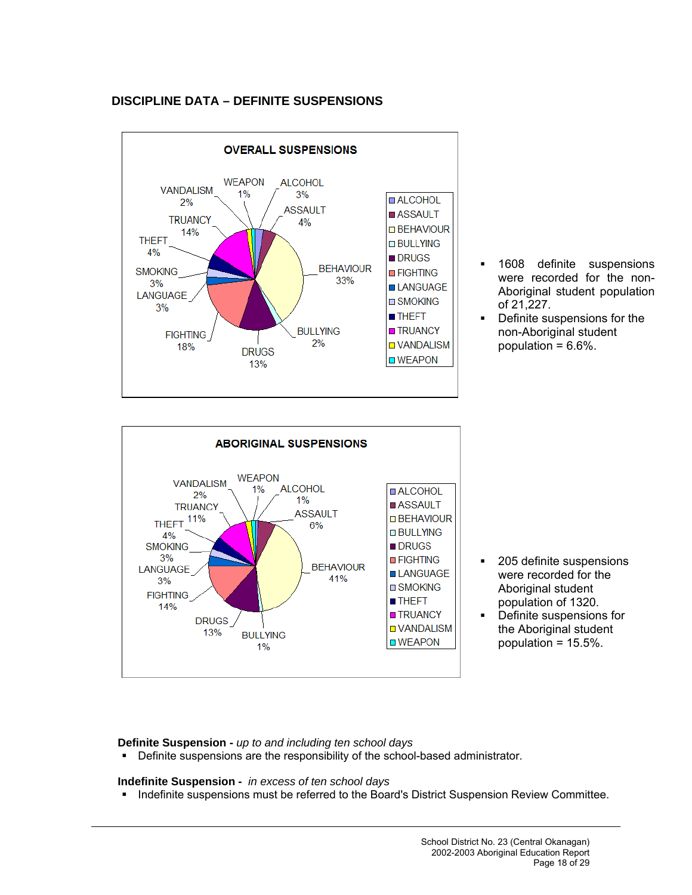# **DISCIPLINE DATA – DEFINITE SUSPENSIONS**



- **1608** definite suspensions were recorded for the non-Aboriginal student population of 21,227.
- Definite suspensions for the non-Aboriginal student population = 6.6%.



- 205 definite suspensions were recorded for the Aboriginal student population of 1320.
- Definite suspensions for the Aboriginal student population = 15.5%.

**Definite Suspension -** *up to and including ten school days*

Definite suspensions are the responsibility of the school-based administrator.

**Indefinite Suspension -** *in excess of ten school days*

**Indefinite suspensions must be referred to the Board's District Suspension Review Committee.**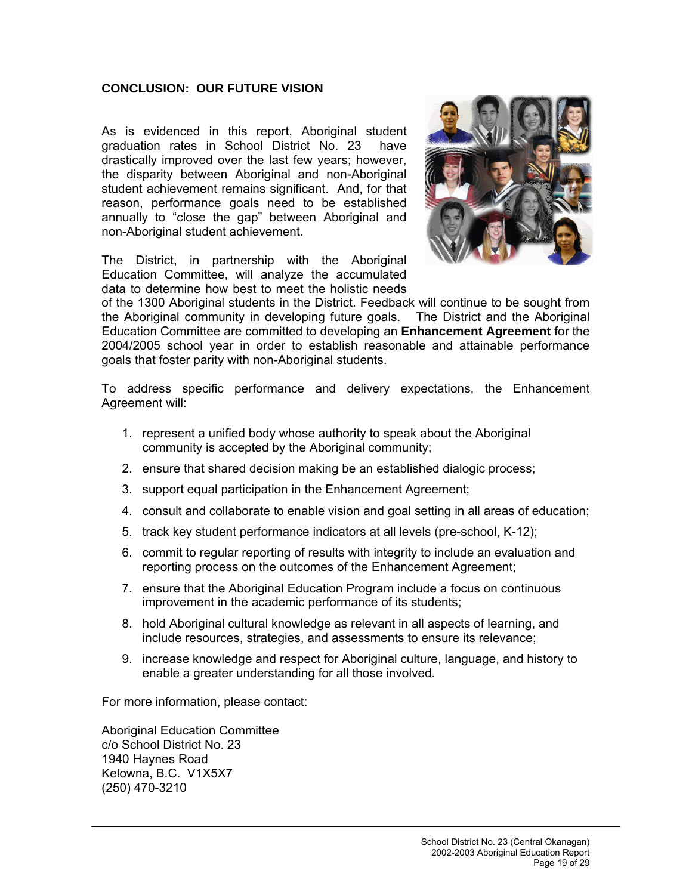## **CONCLUSION: OUR FUTURE VISION**

As is evidenced in this report, Aboriginal student graduation rates in School District No. 23 have drastically improved over the last few years; however, the disparity between Aboriginal and non-Aboriginal student achievement remains significant. And, for that reason, performance goals need to be established annually to "close the gap" between Aboriginal and non-Aboriginal student achievement.

The District, in partnership with the Aboriginal Education Committee, will analyze the accumulated data to determine how best to meet the holistic needs



of the 1300 Aboriginal students in the District. Feedback will continue to be sought from the Aboriginal community in developing future goals. The District and the Aboriginal Education Committee are committed to developing an **Enhancement Agreement** for the 2004/2005 school year in order to establish reasonable and attainable performance goals that foster parity with non-Aboriginal students.

To address specific performance and delivery expectations, the Enhancement Agreement will:

- 1. represent a unified body whose authority to speak about the Aboriginal community is accepted by the Aboriginal community;
- 2. ensure that shared decision making be an established dialogic process;
- 3. support equal participation in the Enhancement Agreement;
- 4. consult and collaborate to enable vision and goal setting in all areas of education;
- 5. track key student performance indicators at all levels (pre-school, K-12);
- 6. commit to regular reporting of results with integrity to include an evaluation and reporting process on the outcomes of the Enhancement Agreement;
- 7. ensure that the Aboriginal Education Program include a focus on continuous improvement in the academic performance of its students;
- 8. hold Aboriginal cultural knowledge as relevant in all aspects of learning, and include resources, strategies, and assessments to ensure its relevance;
- 9. increase knowledge and respect for Aboriginal culture, language, and history to enable a greater understanding for all those involved.

For more information, please contact:

Aboriginal Education Committee c/o School District No. 23 1940 Haynes Road Kelowna, B.C. V1X5X7 (250) 470-3210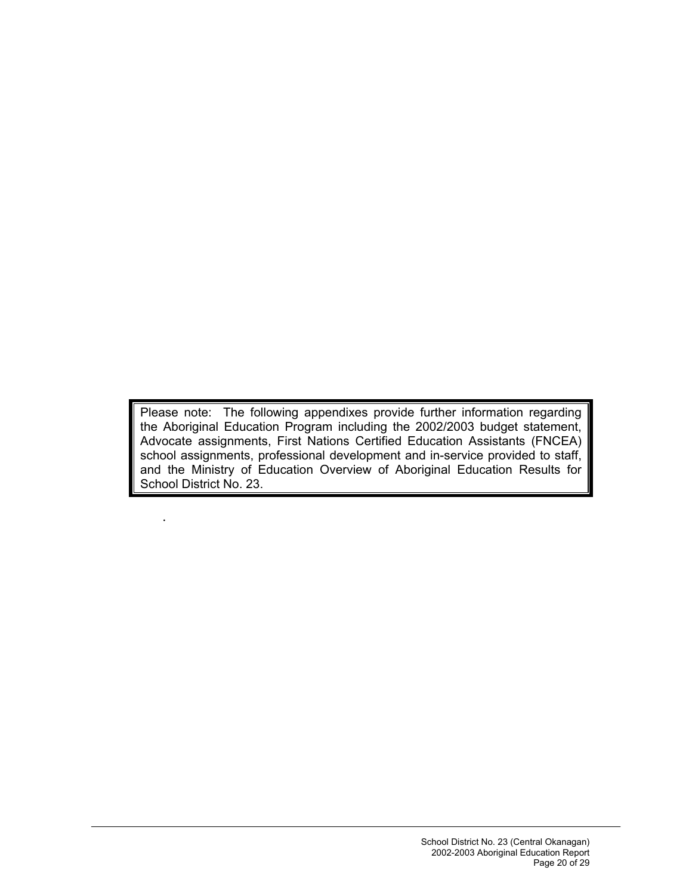Please note: The following appendixes provide further information regarding the Aboriginal Education Program including the 2002/2003 budget statement, Advocate assignments, First Nations Certified Education Assistants (FNCEA) school assignments, professional development and in-service provided to staff, and the Ministry of Education Overview of Aboriginal Education Results for School District No. 23.

.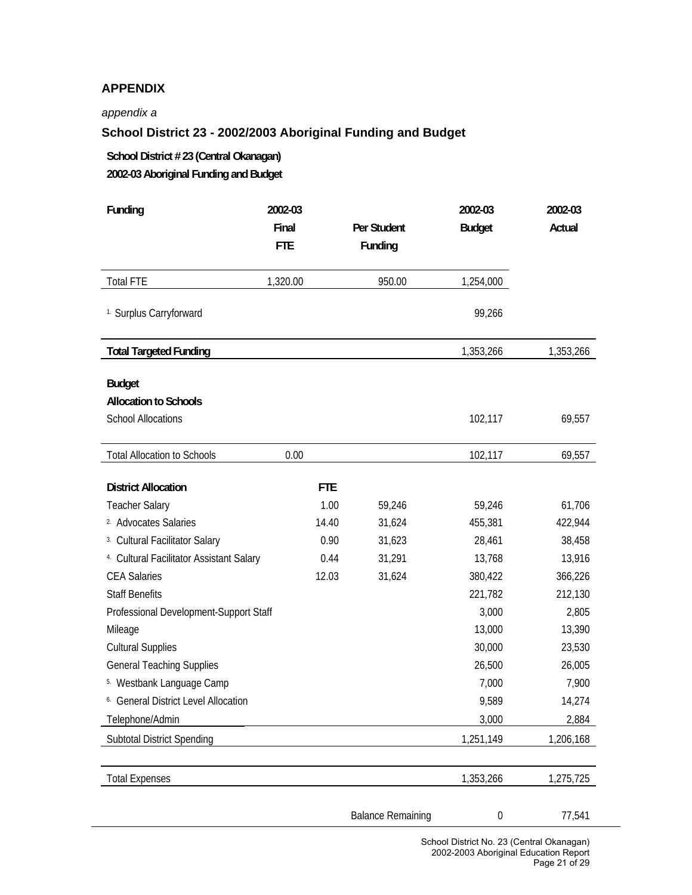# **APPENDIX**

#### *appendix a*

# **School District 23 - 2002/2003 Aboriginal Funding and Budget**

**School District # 23 (Central Okanagan) 2002-03 Aboriginal Funding and Budget** 

| Funding                                                   | 2002-03<br>Final<br><b>FTE</b> | Per Student<br>Funding   | 2002-03<br><b>Budget</b> | 2002-03<br>Actual |
|-----------------------------------------------------------|--------------------------------|--------------------------|--------------------------|-------------------|
| <b>Total FTE</b>                                          | 1,320.00                       | 950.00                   | 1,254,000                |                   |
| <sup>1.</sup> Surplus Carryforward                        |                                |                          | 99,266                   |                   |
| <b>Total Targeted Funding</b>                             |                                |                          | 1,353,266                | 1,353,266         |
| <b>Budget</b>                                             |                                |                          |                          |                   |
| <b>Allocation to Schools</b><br><b>School Allocations</b> |                                |                          | 102,117                  | 69,557            |
| <b>Total Allocation to Schools</b>                        | 0.00                           |                          | 102,117                  | 69,557            |
| <b>District Allocation</b>                                | <b>FTE</b>                     |                          |                          |                   |
| <b>Teacher Salary</b>                                     | 1.00                           | 59,246                   | 59,246                   | 61,706            |
| <sup>2</sup> Advocates Salaries                           | 14.40                          | 31,624                   | 455,381                  | 422,944           |
| 3. Cultural Facilitator Salary                            | 0.90                           | 31,623                   | 28,461                   | 38,458            |
| 4. Cultural Facilitator Assistant Salary                  | 0.44                           | 31,291                   | 13,768                   | 13,916            |
| <b>CEA Salaries</b>                                       | 12.03                          | 31,624                   | 380,422                  | 366,226           |
| <b>Staff Benefits</b>                                     |                                |                          | 221,782                  | 212,130           |
| Professional Development-Support Staff                    |                                |                          | 3,000                    | 2,805             |
| Mileage                                                   |                                |                          | 13,000                   | 13,390            |
| <b>Cultural Supplies</b>                                  |                                |                          | 30,000                   | 23,530            |
| <b>General Teaching Supplies</b>                          |                                |                          | 26,500                   | 26,005            |
| 5. Westbank Language Camp                                 |                                |                          | 7,000                    | 7,900             |
| <sup>6.</sup> General District Level Allocation           |                                |                          | 9,589                    | 14,274            |
| Telephone/Admin                                           |                                |                          | 3,000                    | 2,884             |
| <b>Subtotal District Spending</b>                         |                                |                          | 1,251,149                | 1,206,168         |
| <b>Total Expenses</b>                                     |                                |                          | 1,353,266                | 1,275,725         |
|                                                           |                                | <b>Balance Remaining</b> | $\boldsymbol{0}$         | 77,541            |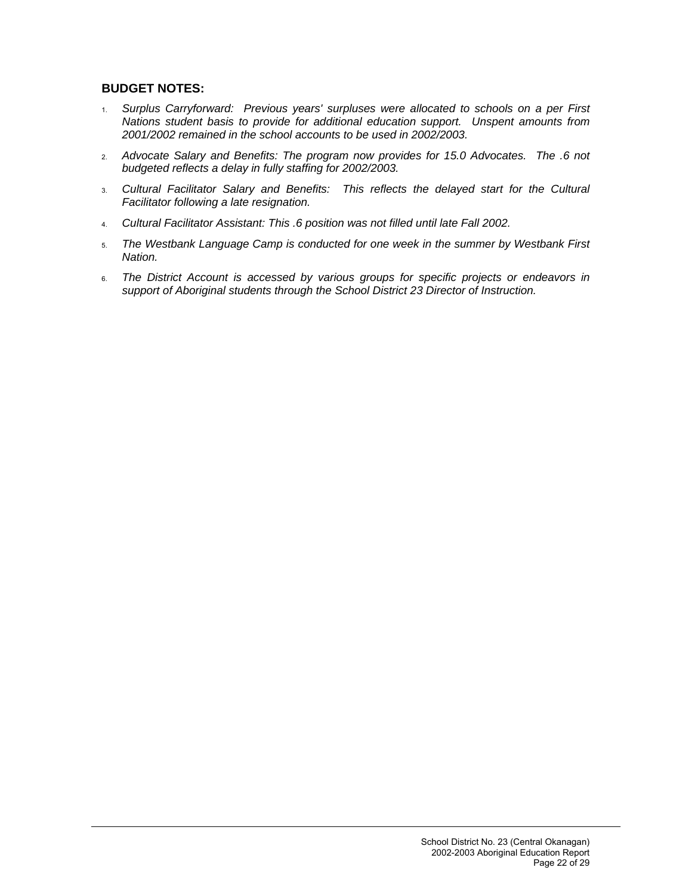## **BUDGET NOTES:**

- 1. *Surplus Carryforward: Previous years' surpluses were allocated to schools on a per First Nations student basis to provide for additional education support. Unspent amounts from 2001/2002 remained in the school accounts to be used in 2002/2003.*
- 2. *Advocate Salary and Benefits: The program now provides for 15.0 Advocates. The .6 not budgeted reflects a delay in fully staffing for 2002/2003.*
- 3. *Cultural Facilitator Salary and Benefits: This reflects the delayed start for the Cultural Facilitator following a late resignation.*
- 4. *Cultural Facilitator Assistant: This .6 position was not filled until late Fall 2002.*
- 5. *The Westbank Language Camp is conducted for one week in the summer by Westbank First Nation.*
- 6. The District Account is accessed by various groups for specific projects or endeavors in *support of Aboriginal students through the School District 23 Director of Instruction.*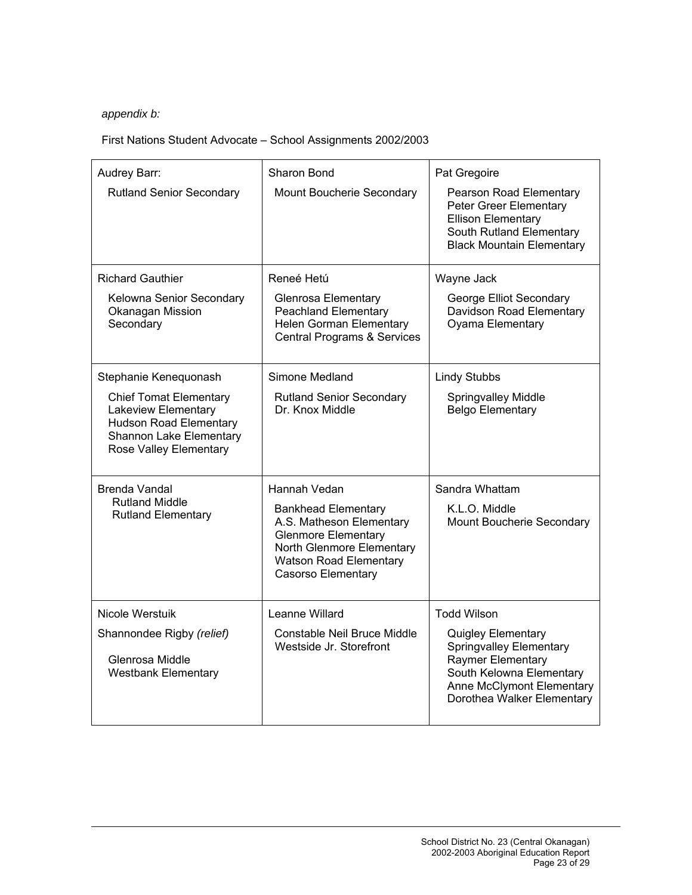# *appendix b:*

# First Nations Student Advocate – School Assignments 2002/2003

| Audrey Barr:<br><b>Rutland Senior Secondary</b>                                                                                            | Sharon Bond<br>Mount Boucherie Secondary                                                                                                                                        | Pat Gregoire<br>Pearson Road Elementary<br>Peter Greer Elementary<br><b>Ellison Elementary</b><br>South Rutland Elementary<br><b>Black Mountain Elementary</b>                 |
|--------------------------------------------------------------------------------------------------------------------------------------------|---------------------------------------------------------------------------------------------------------------------------------------------------------------------------------|--------------------------------------------------------------------------------------------------------------------------------------------------------------------------------|
| <b>Richard Gauthier</b>                                                                                                                    | Reneé Hetú                                                                                                                                                                      | Wayne Jack                                                                                                                                                                     |
| Kelowna Senior Secondary<br>Okanagan Mission<br>Secondary                                                                                  | <b>Glenrosa Elementary</b><br><b>Peachland Elementary</b><br><b>Helen Gorman Elementary</b><br><b>Central Programs &amp; Services</b>                                           | George Elliot Secondary<br>Davidson Road Elementary<br>Oyama Elementary                                                                                                        |
| Stephanie Kenequonash                                                                                                                      | Simone Medland                                                                                                                                                                  | <b>Lindy Stubbs</b>                                                                                                                                                            |
| <b>Chief Tomat Elementary</b><br>Lakeview Elementary<br><b>Hudson Road Elementary</b><br>Shannon Lake Elementary<br>Rose Valley Elementary | <b>Rutland Senior Secondary</b><br>Dr. Knox Middle                                                                                                                              | <b>Springvalley Middle</b><br><b>Belgo Elementary</b>                                                                                                                          |
| Brenda Vandal                                                                                                                              | Hannah Vedan                                                                                                                                                                    | Sandra Whattam                                                                                                                                                                 |
| <b>Rutland Middle</b><br><b>Rutland Elementary</b>                                                                                         | <b>Bankhead Elementary</b><br>A.S. Matheson Elementary<br><b>Glenmore Elementary</b><br>North Glenmore Elementary<br><b>Watson Road Elementary</b><br><b>Casorso Elementary</b> | K.L.O. Middle<br>Mount Boucherie Secondary                                                                                                                                     |
| <b>Nicole Werstuik</b>                                                                                                                     | Leanne Willard                                                                                                                                                                  | <b>Todd Wilson</b>                                                                                                                                                             |
| Shannondee Rigby (relief)<br>Glenrosa Middle<br><b>Westbank Elementary</b>                                                                 | Constable Neil Bruce Middle<br>Westside Jr. Storefront                                                                                                                          | <b>Quigley Elementary</b><br><b>Springvalley Elementary</b><br>Raymer Elementary<br>South Kelowna Elementary<br><b>Anne McClymont Elementary</b><br>Dorothea Walker Elementary |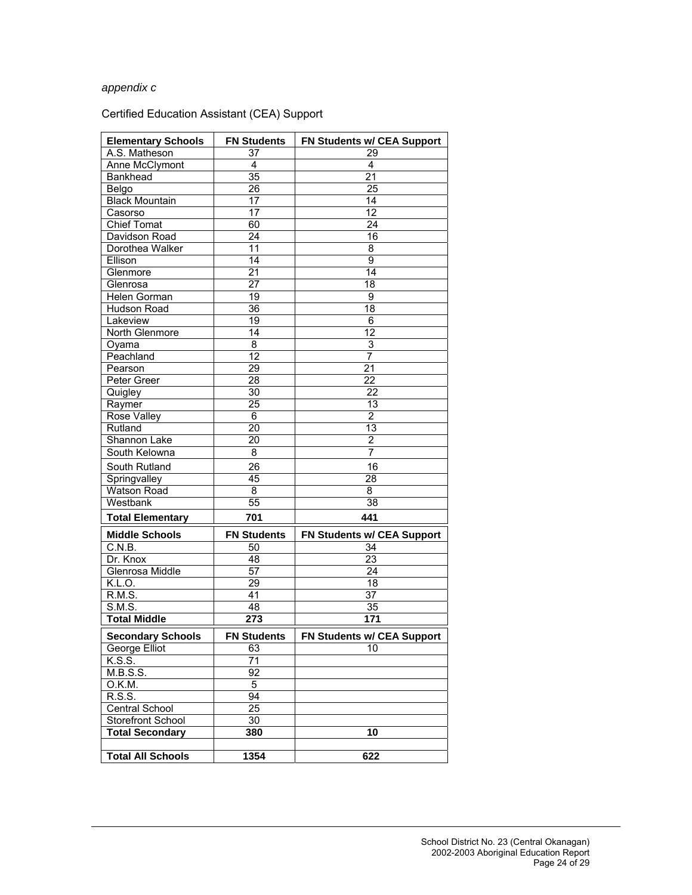## *appendix c*

# Certified Education Assistant (CEA) Support

| <b>Elementary Schools</b> | <b>FN Students</b> | FN Students w/ CEA Support |
|---------------------------|--------------------|----------------------------|
| A.S. Matheson             | 37                 | 29                         |
| Anne McClymont            | 4                  | 4                          |
| Bankhead                  | $\overline{35}$    | 21                         |
| Belgo                     | 26                 | 25                         |
| <b>Black Mountain</b>     | 17                 | 14                         |
| Casorso                   | 17                 | 12                         |
| <b>Chief Tomat</b>        | 60                 | 24                         |
| Davidson Road             | 24                 | 16                         |
| Dorothea Walker           | 11                 | 8                          |
| Ellison                   | 14                 | 9                          |
| Glenmore                  | 21                 | 14                         |
| Glenrosa                  | 27                 | 18                         |
| Helen Gorman              | 19                 | 9                          |
| Hudson Road               | 36                 | 18                         |
| Lakeview                  | 19                 | 6                          |
| North Glenmore            | 14                 | 12                         |
| Oyama                     | 8                  | 3                          |
| Peachland                 | 12                 | 7                          |
| Pearson                   | 29                 | $\overline{21}$            |
| Peter Greer               | $\overline{28}$    | 22                         |
| Quigley                   | 30                 | 22                         |
| Raymer                    | 25                 | 13                         |
| Rose Valley               | 6                  | $\overline{2}$             |
| Rutland                   | 20                 | 13                         |
| Shannon Lake              | 20                 | $\overline{2}$             |
| South Kelowna             | 8                  | 7                          |
| South Rutland             | 26                 | 16                         |
| Springvalley              | 45                 | 28                         |
| Watson Road               | 8                  | 8                          |
| Westbank                  | $\overline{55}$    | 38                         |
| <b>Total Elementary</b>   | 701                | 441                        |
|                           |                    |                            |
| <b>Middle Schools</b>     | <b>FN Students</b> | FN Students w/ CEA Support |
| C.N.B.                    | 50                 | 34                         |
| Dr. Knox                  | 48                 | 23                         |
| Glenrosa Middle           | 57                 | 24                         |
| K.L.O.                    | 29                 | 18                         |
| R.M.S.                    | 41                 | 37                         |
| S.M.S.                    | 48                 | 35                         |
| <b>Total Middle</b>       | 273                | 171                        |
| <b>Secondary Schools</b>  | <b>FN Students</b> | FN Students w/ CEA Support |
| George Elliot             | 63                 | 10                         |
| K.S.S.                    | 71                 |                            |
| M.B.S.S.                  | 92                 |                            |
| O.K.M.                    | 5                  |                            |
| R.S.S.                    | 94                 |                            |
| <b>Central School</b>     | 25                 |                            |
| Storefront School         | 30                 |                            |
| <b>Total Secondary</b>    | 380                | 10                         |
|                           |                    |                            |
| <b>Total All Schools</b>  | 1354               | 622                        |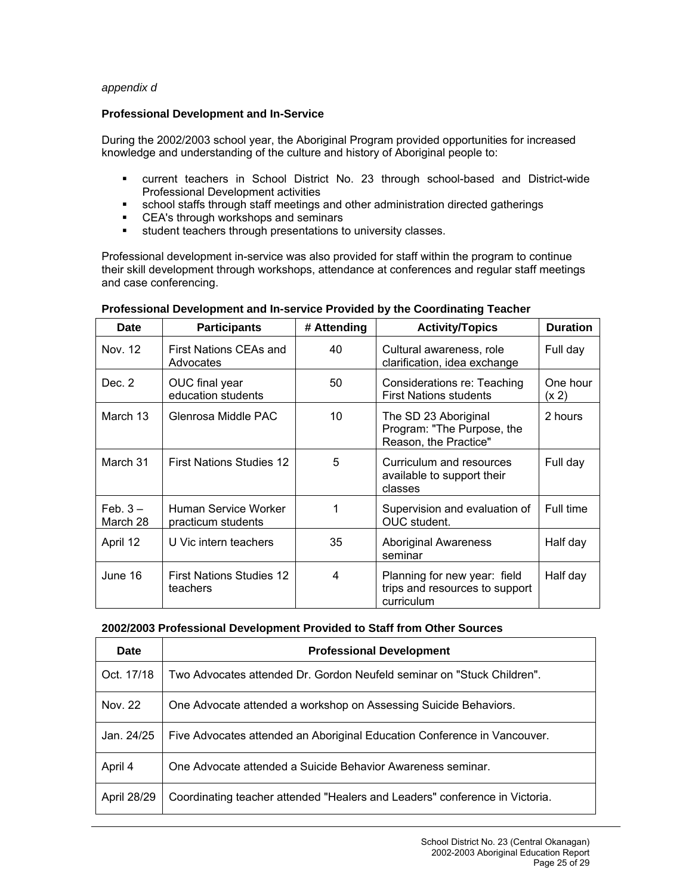#### *appendix d*

#### **Professional Development and In-Service**

During the 2002/2003 school year, the Aboriginal Program provided opportunities for increased knowledge and understanding of the culture and history of Aboriginal people to:

- current teachers in School District No. 23 through school-based and District-wide Professional Development activities
- school staffs through staff meetings and other administration directed gatherings
- **EXECT**'s through workshops and seminars
- student teachers through presentations to university classes.

Professional development in-service was also provided for staff within the program to continue their skill development through workshops, attendance at conferences and regular staff meetings and case conferencing.

| Date                  | <b>Participants</b>                         | # Attending | <b>Activity/Topics</b>                                                       | <b>Duration</b>   |
|-----------------------|---------------------------------------------|-------------|------------------------------------------------------------------------------|-------------------|
| Nov. 12               | First Nations CEAs and<br>Advocates         | 40          | Cultural awareness, role<br>clarification, idea exchange                     | Full day          |
| Dec. 2                | OUC final year<br>education students        | 50          | Considerations re: Teaching<br><b>First Nations students</b>                 | One hour<br>(x 2) |
| March 13              | Glenrosa Middle PAC                         | 10          | The SD 23 Aboriginal<br>Program: "The Purpose, the<br>Reason, the Practice"  | 2 hours           |
| March 31              | <b>First Nations Studies 12</b>             | 5           | Curriculum and resources<br>available to support their<br>classes            | Full day          |
| $Feb.3 -$<br>March 28 | Human Service Worker<br>practicum students  |             | Supervision and evaluation of<br>OUC student.                                | Full time         |
| April 12              | U Vic intern teachers                       | 35          | <b>Aboriginal Awareness</b><br>seminar                                       | Half day          |
| June 16               | <b>First Nations Studies 12</b><br>teachers | 4           | Planning for new year: field<br>trips and resources to support<br>curriculum | Half day          |

#### **Professional Development and In-service Provided by the Coordinating Teacher**

#### **2002/2003 Professional Development Provided to Staff from Other Sources**

| Date        | <b>Professional Development</b>                                             |
|-------------|-----------------------------------------------------------------------------|
| Oct. 17/18  | Two Advocates attended Dr. Gordon Neufeld seminar on "Stuck Children".      |
| Nov. 22     | One Advocate attended a workshop on Assessing Suicide Behaviors.            |
| Jan. 24/25  | Five Advocates attended an Aboriginal Education Conference in Vancouver.    |
| April 4     | One Advocate attended a Suicide Behavior Awareness seminar.                 |
| April 28/29 | Coordinating teacher attended "Healers and Leaders" conference in Victoria. |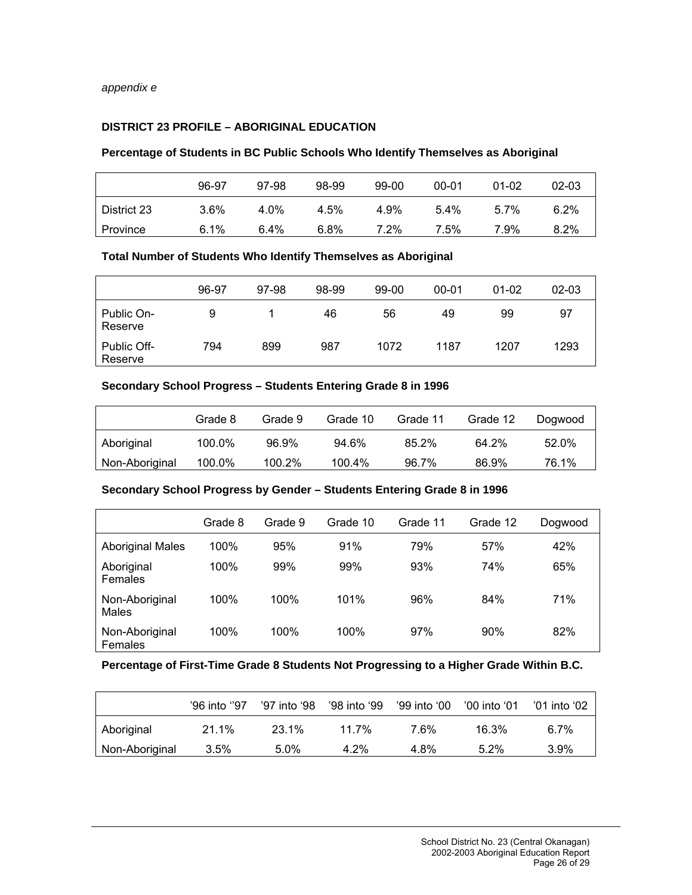# **DISTRICT 23 PROFILE – ABORIGINAL EDUCATION**

# **Percentage of Students in BC Public Schools Who Identify Themselves as Aboriginal**

|             | 96-97   | 97-98   | 98-99 | 99-00 | $00 - 01$ | $01 - 02$ | 02-03   |
|-------------|---------|---------|-------|-------|-----------|-----------|---------|
| District 23 | $3.6\%$ | 4.0%    | 4.5%  | 4.9%  | $5.4\%$   | $5.7\%$   | 6.2%    |
| Province    | 6.1%    | $6.4\%$ | 6.8%  | 7.2%  | 7.5%      | 7.9%      | $8.2\%$ |

#### **Total Number of Students Who Identify Themselves as Aboriginal**

|                        | 96-97 | 97-98 | 98-99 | 99-00 | $00 - 01$ | $01 - 02$ | $02 - 03$ |
|------------------------|-------|-------|-------|-------|-----------|-----------|-----------|
| Public On-<br>Reserve  | 9     |       | 46    | 56    | 49        | 99        | 97        |
| Public Off-<br>Reserve | 794   | 899   | 987   | 1072  | 1187      | 1207      | 1293      |

### **Secondary School Progress – Students Entering Grade 8 in 1996**

|                | Grade 8 | Grade 9 | Grade 10 | Grade 11 | Grade 12 | Dogwood |
|----------------|---------|---------|----------|----------|----------|---------|
| Aboriginal     | 100.0%  | 96.9%   | $94.6\%$ | 85.2%    | 64.2%    | 52.0%   |
| Non-Aboriginal | 100.0%  | 100.2%  | 100.4%   | 96.7%    | 86.9%    | 76.1%   |

#### **Secondary School Progress by Gender – Students Entering Grade 8 in 1996**

|                           | Grade 8 | Grade 9 | Grade 10 | Grade 11 | Grade 12 | Dogwood |
|---------------------------|---------|---------|----------|----------|----------|---------|
| <b>Aboriginal Males</b>   | 100%    | 95%     | 91%      | 79%      | 57%      | 42%     |
| Aboriginal<br>Females     | 100%    | 99%     | 99%      | 93%      | 74%      | 65%     |
| Non-Aboriginal<br>Males   | 100%    | 100%    | 101%     | 96%      | 84%      | 71%     |
| Non-Aboriginal<br>Females | 100%    | 100%    | 100%     | 97%      | 90%      | 82%     |

#### **Percentage of First-Time Grade 8 Students Not Progressing to a Higher Grade Within B.C.**

|                | '96 into ''97 | '97 into '98 | '98 into '99 | '99 into '00 | '00 into '01 | '01 into '02 |
|----------------|---------------|--------------|--------------|--------------|--------------|--------------|
| Aboriginal     | 21.1%         | 23.1%        | 11.7%        | 7.6%         | 16.3%        | $6.7\%$      |
| Non-Aboriginal | 3.5%          | $5.0\%$      | $4.2\%$      | 4.8%         | $5.2\%$      | 3.9%         |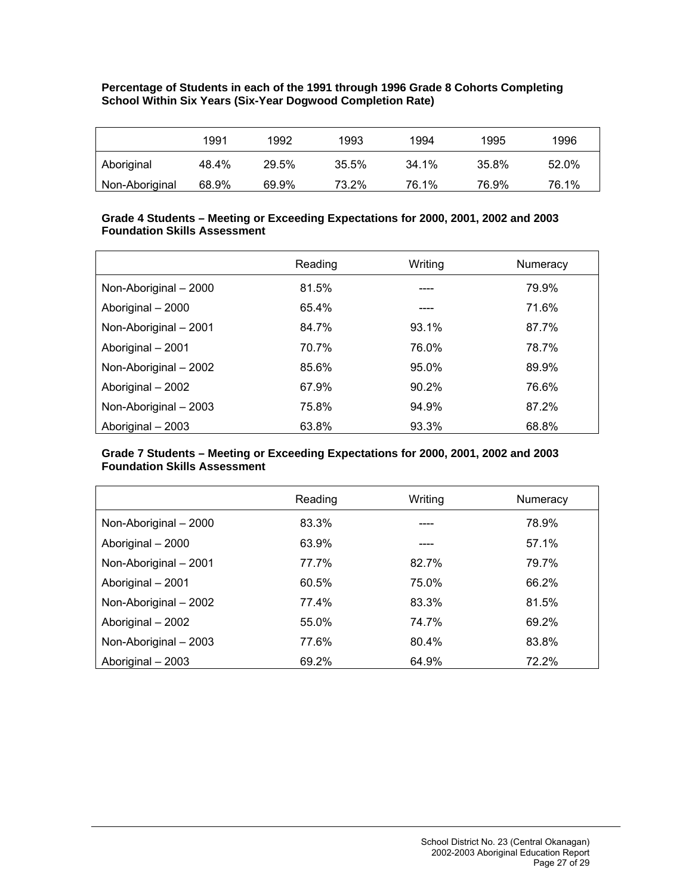#### **Percentage of Students in each of the 1991 through 1996 Grade 8 Cohorts Completing School Within Six Years (Six-Year Dogwood Completion Rate)**

|                | 1991  | 1992  | 1993  | 1994  | 1995  | 1996  |
|----------------|-------|-------|-------|-------|-------|-------|
| Aboriginal     | 48.4% | 29.5% | 35.5% | 34.1% | 35.8% | 52.0% |
| Non-Aboriginal | 68.9% | 69.9% | 73.2% | 76.1% | 76.9% | 76.1% |

## **Grade 4 Students – Meeting or Exceeding Expectations for 2000, 2001, 2002 and 2003 Foundation Skills Assessment**

|                       | Reading | Writing | Numeracy |
|-----------------------|---------|---------|----------|
| Non-Aboriginal - 2000 | 81.5%   |         | 79.9%    |
| Aboriginal - 2000     | 65.4%   |         | 71.6%    |
| Non-Aboriginal - 2001 | 84.7%   | 93.1%   | 87.7%    |
| Aboriginal - 2001     | 70.7%   | 76.0%   | 78.7%    |
| Non-Aboriginal - 2002 | 85.6%   | 95.0%   | 89.9%    |
| Aboriginal - 2002     | 67.9%   | 90.2%   | 76.6%    |
| Non-Aboriginal - 2003 | 75.8%   | 94.9%   | 87.2%    |
| Aboriginal - 2003     | 63.8%   | 93.3%   | 68.8%    |

#### **Grade 7 Students – Meeting or Exceeding Expectations for 2000, 2001, 2002 and 2003 Foundation Skills Assessment**

|                       | Reading | Writing | Numeracy |
|-----------------------|---------|---------|----------|
| Non-Aboriginal - 2000 | 83.3%   |         | 78.9%    |
| Aboriginal - 2000     | 63.9%   |         | 57.1%    |
| Non-Aboriginal - 2001 | 77.7%   | 82.7%   | 79.7%    |
| Aboriginal - 2001     | 60.5%   | 75.0%   | 66.2%    |
| Non-Aboriginal - 2002 | 77.4%   | 83.3%   | 81.5%    |
| Aboriginal - 2002     | 55.0%   | 74.7%   | 69.2%    |
| Non-Aboriginal - 2003 | 77.6%   | 80.4%   | 83.8%    |
| Aboriginal - 2003     | 69.2%   | 64.9%   | 72.2%    |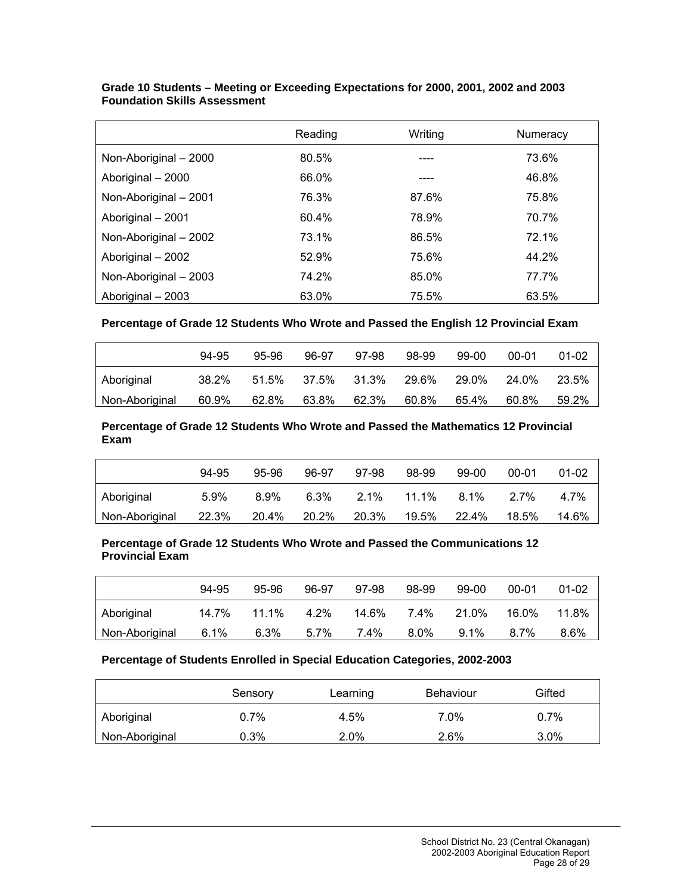|                       | Reading | Writina | Numeracy |
|-----------------------|---------|---------|----------|
| Non-Aboriginal - 2000 | 80.5%   |         | 73.6%    |
| Aboriginal - 2000     | 66.0%   |         | 46.8%    |
| Non-Aboriginal - 2001 | 76.3%   | 87.6%   | 75.8%    |
| Aboriginal - 2001     | 60.4%   | 78.9%   | 70.7%    |
| Non-Aboriginal - 2002 | 73.1%   | 86.5%   | 72.1%    |
| Aboriginal - 2002     | 52.9%   | 75.6%   | 44.2%    |
| Non-Aboriginal - 2003 | 74.2%   | 85.0%   | 77.7%    |
| Aboriginal - 2003     | 63.0%   | 75.5%   | 63.5%    |

#### **Grade 10 Students – Meeting or Exceeding Expectations for 2000, 2001, 2002 and 2003 Foundation Skills Assessment**

**Percentage of Grade 12 Students Who Wrote and Passed the English 12 Provincial Exam** 

|                | 94-95 | 95-96 | 96-97 | 97-98 | 98-99 | 99-00 | $00 - 01$ | $01 - 02$ |
|----------------|-------|-------|-------|-------|-------|-------|-----------|-----------|
| Aboriginal     | 38.2% | 51.5% | 37.5% | 31.3% | 29.6% | 29.0% | 24.0%     | 23.5%     |
| Non-Aboriginal | 60.9% | 62.8% | 63.8% | 62.3% | 60.8% | 65.4% | 60.8%     | 59.2%     |

**Percentage of Grade 12 Students Who Wrote and Passed the Mathematics 12 Provincial Exam** 

|                | 94-95   | 95-96   | 96-97   | 97-98   | 98-99 | 99-00 | 00-01 | $01 - 02$ |
|----------------|---------|---------|---------|---------|-------|-------|-------|-----------|
| Aboriginal     | $5.9\%$ | $8.9\%$ | $6.3\%$ | $2.1\%$ | 11.1% | 8.1%  | 2.7%  | 4.7%      |
| Non-Aboriginal | 22.3%   | 20.4%   | 20.2%   | 20.3%   | 19.5% | 22.4% | 18.5% | 14.6%     |

#### **Percentage of Grade 12 Students Who Wrote and Passed the Communications 12 Provincial Exam**

|                | 94-95 | 95-96    | 96-97   | 97-98 | 98-99   | 99-00   | 00-01 | $01 - 02$ |
|----------------|-------|----------|---------|-------|---------|---------|-------|-----------|
| Aboriginal     | 14.7% | $11.1\%$ | $4.2\%$ | 14.6% | 7.4%    | 21.0%   | 16.0% | 11.8%     |
| Non-Aboriginal | 6.1%  | 6.3%     | 5.7%    | 7.4%  | $8.0\%$ | $9.1\%$ | 8.7%  | 8.6%      |

#### **Percentage of Students Enrolled in Special Education Categories, 2002-2003**

|                | Sensory | Learning | Behaviour | Gifted  |
|----------------|---------|----------|-----------|---------|
| Aboriginal     | $0.7\%$ | 4.5%     | 7.0%      | 0.7%    |
| Non-Aboriginal | 0.3%    | $2.0\%$  | 2.6%      | $3.0\%$ |